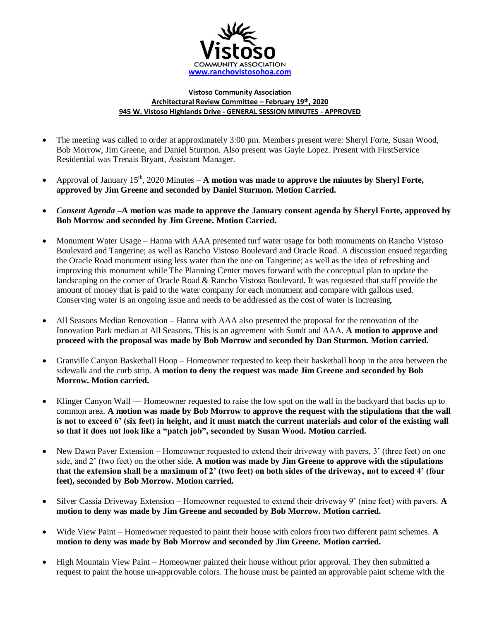

## **Vistoso Community Association Architectural Review Committee – February 19th, 2020 945 W. Vistoso Highlands Drive - GENERAL SESSION MINUTES - APPROVED**

- The meeting was called to order at approximately 3:00 pm. Members present were: Sheryl Forte, Susan Wood, Bob Morrow, Jim Greene, and Daniel Sturmon. Also present was Gayle Lopez. Present with FirstService Residential was Trenais Bryant, Assistant Manager.
- Approval of January  $15<sup>th</sup>$ , 2020 Minutes **A motion was made to approve the minutes by Sheryl Forte, approved by Jim Greene and seconded by Daniel Sturmon. Motion Carried.**
- *Consent Agenda –***A motion was made to approve the January consent agenda by Sheryl Forte, approved by Bob Morrow and seconded by Jim Greene. Motion Carried.**
- Monument Water Usage Hanna with AAA presented turf water usage for both monuments on Rancho Vistoso Boulevard and Tangerine; as well as Rancho Vistoso Boulevard and Oracle Road. A discussion ensued regarding the Oracle Road monument using less water than the one on Tangerine; as well as the idea of refreshing and improving this monument while The Planning Center moves forward with the conceptual plan to update the landscaping on the corner of Oracle Road & Rancho Vistoso Boulevard. It was requested that staff provide the amount of money that is paid to the water company for each monument and compare with gallons used. Conserving water is an ongoing issue and needs to be addressed as the cost of water is increasing.
- All Seasons Median Renovation Hanna with AAA also presented the proposal for the renovation of the Innovation Park median at All Seasons. This is an agreement with Sundt and AAA. **A motion to approve and proceed with the proposal was made by Bob Morrow and seconded by Dan Sturmon. Motion carried.**
- Granville Canyon Basketball Hoop Homeowner requested to keep their basketball hoop in the area between the sidewalk and the curb strip. **A motion to deny the request was made Jim Greene and seconded by Bob Morrow. Motion carried.**
- Klinger Canyon Wall Homeowner requested to raise the low spot on the wall in the backyard that backs up to common area. **A motion was made by Bob Morrow to approve the request with the stipulations that the wall is not to exceed 6' (six feet) in height, and it must match the current materials and color of the existing wall so that it does not look like a "patch job", seconded by Susan Wood. Motion carried.**
- New Dawn Paver Extension Homeowner requested to extend their driveway with pavers, 3' (three feet) on one side, and 2' (two feet) on the other side. **A motion was made by Jim Greene to approve with the stipulations that the extension shall be a maximum of 2' (two feet) on both sides of the driveway, not to exceed 4' (four feet), seconded by Bob Morrow. Motion carried.**
- Silver Cassia Driveway Extension Homeowner requested to extend their driveway 9' (nine feet) with pavers. **A motion to deny was made by Jim Greene and seconded by Bob Morrow. Motion carried.**
- Wide View Paint Homeowner requested to paint their house with colors from two different paint schemes. **A motion to deny was made by Bob Morrow and seconded by Jim Greene. Motion carried.**
- High Mountain View Paint Homeowner painted their house without prior approval. They then submitted a request to paint the house un-approvable colors. The house must be painted an approvable paint scheme with the